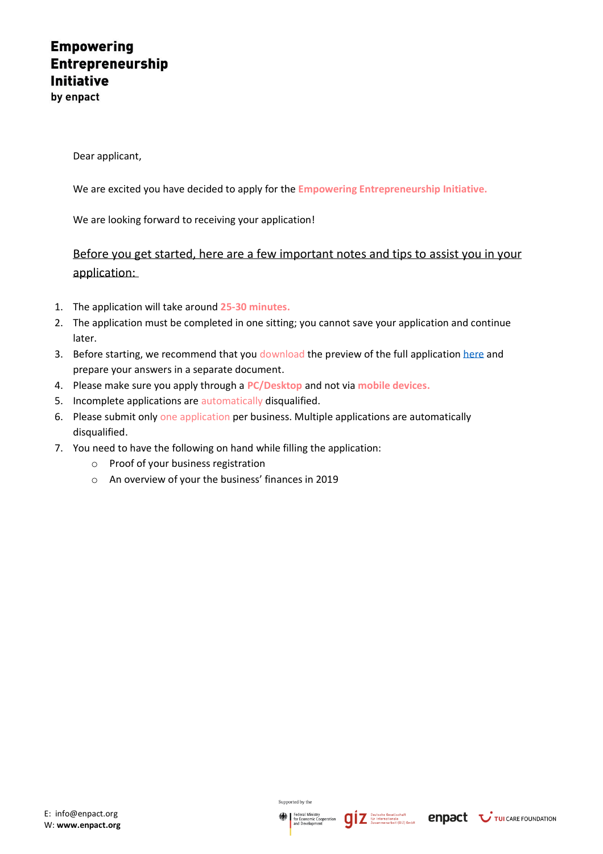## **Empowering Entrepreneurship Initiative**

by enpact

Dear applicant,

We are excited you have decided to apply for the **Empowering Entrepreneurship Initiative.**

We are looking forward to receiving your application!

Before you get started, here are a few important notes and tips to assist you in your application:

- 1. The application will take around **25-30 minutes.**
- 2. The application must be completed in one sitting; you cannot save your application and continue later.
- 3. Before starting, we recommend that you download the preview of the full application [here](https://www.enpact.org/wp-content/uploads/2020/08/eei-first-phase-application-question.pdf) and prepare your answers in a separate document.
- 4. Please make sure you apply through a **PC/Desktop** and not via **mobile devices.**
- 5. Incomplete applications are automatically disqualified.
- 6. Please submit only one application per business. Multiple applications are automatically disqualified.
- 7. You need to have the following on hand while filling the application:
	- o Proof of your business registration
	- o An overview of your the business' finances in 2019

Supported by the